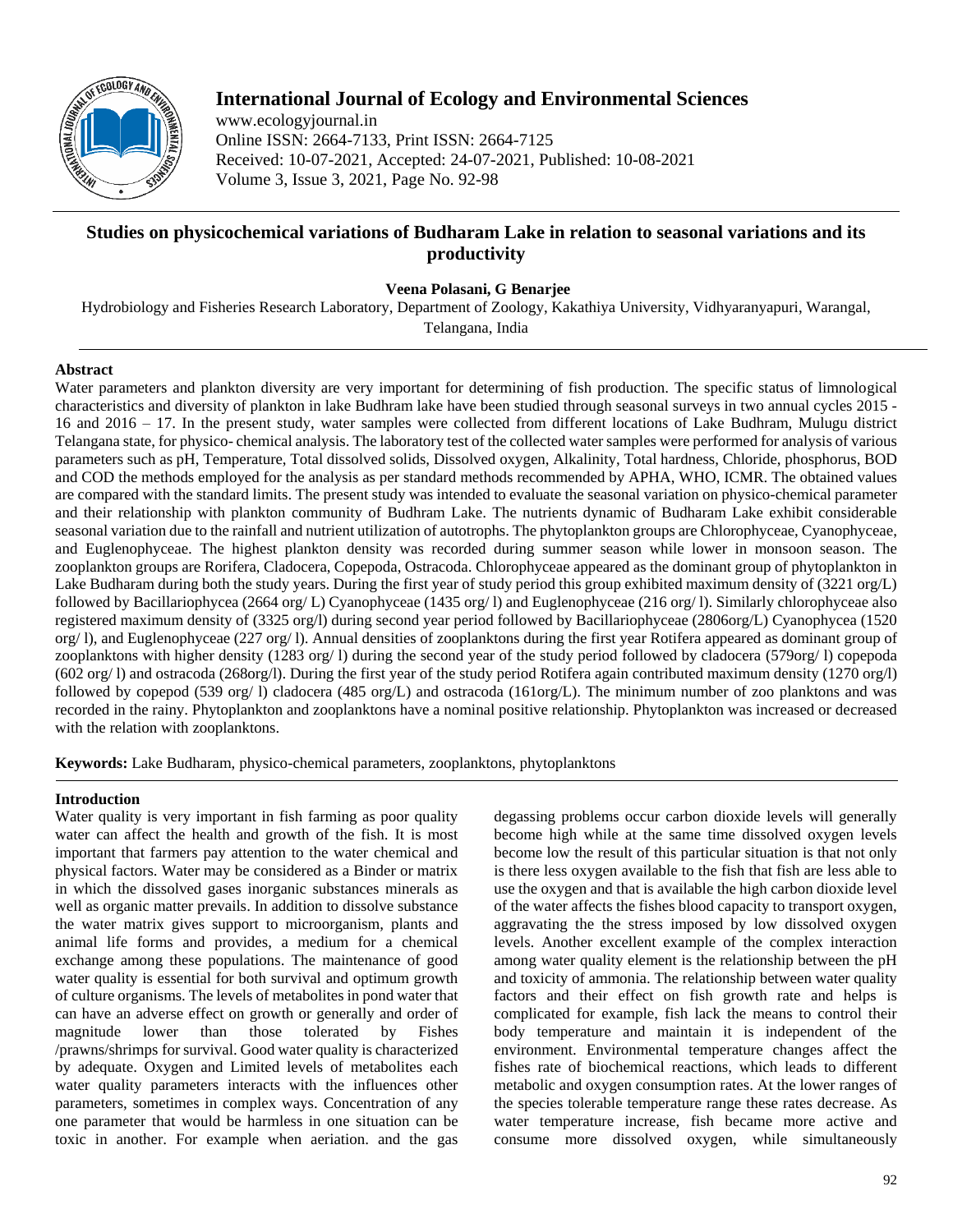

# **International Journal of Ecology and Environmental Sciences**

www.ecologyjournal.in Online ISSN: 2664-7133, Print ISSN: 2664-7125 Received: 10-07-2021, Accepted: 24-07-2021, Published: 10-08-2021 Volume 3, Issue 3, 2021, Page No. 92-98

# **Studies on physicochemical variations of Budharam Lake in relation to seasonal variations and its productivity**

**Veena Polasani, G Benarjee**

Hydrobiology and Fisheries Research Laboratory, Department of Zoology, Kakathiya University, Vidhyaranyapuri, Warangal,

Telangana, India

## **Abstract**

Water parameters and plankton diversity are very important for determining of fish production. The specific status of limnological characteristics and diversity of plankton in lake Budhram lake have been studied through seasonal surveys in two annual cycles 2015 - 16 and 2016 – 17. In the present study, water samples were collected from different locations of Lake Budhram, Mulugu district Telangana state, for physico- chemical analysis. The laboratory test of the collected water samples were performed for analysis of various parameters such as pH, Temperature, Total dissolved solids, Dissolved oxygen, Alkalinity, Total hardness, Chloride, phosphorus, BOD and COD the methods employed for the analysis as per standard methods recommended by APHA, WHO, ICMR. The obtained values are compared with the standard limits. The present study was intended to evaluate the seasonal variation on physico-chemical parameter and their relationship with plankton community of Budhram Lake. The nutrients dynamic of Budharam Lake exhibit considerable seasonal variation due to the rainfall and nutrient utilization of autotrophs. The phytoplankton groups are Chlorophyceae, Cyanophyceae, and Euglenophyceae. The highest plankton density was recorded during summer season while lower in monsoon season. The zooplankton groups are Rorifera, Cladocera, Copepoda, Ostracoda. Chlorophyceae appeared as the dominant group of phytoplankton in Lake Budharam during both the study years. During the first year of study period this group exhibited maximum density of (3221 org/L) followed by Bacillariophycea (2664 org/ L) Cyanophyceae (1435 org/ l) and Euglenophyceae (216 org/ l). Similarly chlorophyceae also registered maximum density of (3325 org/l) during second year period followed by Bacillariophyceae (2806org/L) Cyanophycea (1520 org/ l), and Euglenophyceae (227 org/ l). Annual densities of zooplanktons during the first year Rotifera appeared as dominant group of zooplanktons with higher density (1283 org/ l) during the second year of the study period followed by cladocera (579org/ l) copepoda (602 org/ l) and ostracoda (268org/l). During the first year of the study period Rotifera again contributed maximum density (1270 org/l) followed by copepod (539 org/ l) cladocera (485 org/L) and ostracoda (161org/L). The minimum number of zoo planktons and was recorded in the rainy. Phytoplankton and zooplanktons have a nominal positive relationship. Phytoplankton was increased or decreased with the relation with zooplanktons.

**Keywords:** Lake Budharam, physico-chemical parameters, zooplanktons, phytoplanktons

# **Introduction**

Water quality is very important in fish farming as poor quality water can affect the health and growth of the fish. It is most important that farmers pay attention to the water chemical and physical factors. Water may be considered as a Binder or matrix in which the dissolved gases inorganic substances minerals as well as organic matter prevails. In addition to dissolve substance the water matrix gives support to microorganism, plants and animal life forms and provides, a medium for a chemical exchange among these populations. The maintenance of good water quality is essential for both survival and optimum growth of culture organisms. The levels of metabolites in pond water that can have an adverse effect on growth or generally and order of magnitude lower than those tolerated by Fishes /prawns/shrimps for survival. Good water quality is characterized by adequate. Oxygen and Limited levels of metabolites each water quality parameters interacts with the influences other parameters, sometimes in complex ways. Concentration of any one parameter that would be harmless in one situation can be toxic in another. For example when aeriation. and the gas

degassing problems occur carbon dioxide levels will generally become high while at the same time dissolved oxygen levels become low the result of this particular situation is that not only is there less oxygen available to the fish that fish are less able to use the oxygen and that is available the high carbon dioxide level of the water affects the fishes blood capacity to transport oxygen, aggravating the the stress imposed by low dissolved oxygen levels. Another excellent example of the complex interaction among water quality element is the relationship between the pH and toxicity of ammonia. The relationship between water quality factors and their effect on fish growth rate and helps is complicated for example, fish lack the means to control their body temperature and maintain it is independent of the environment. Environmental temperature changes affect the fishes rate of biochemical reactions, which leads to different metabolic and oxygen consumption rates. At the lower ranges of the species tolerable temperature range these rates decrease. As water temperature increase, fish became more active and consume more dissolved oxygen, while simultaneously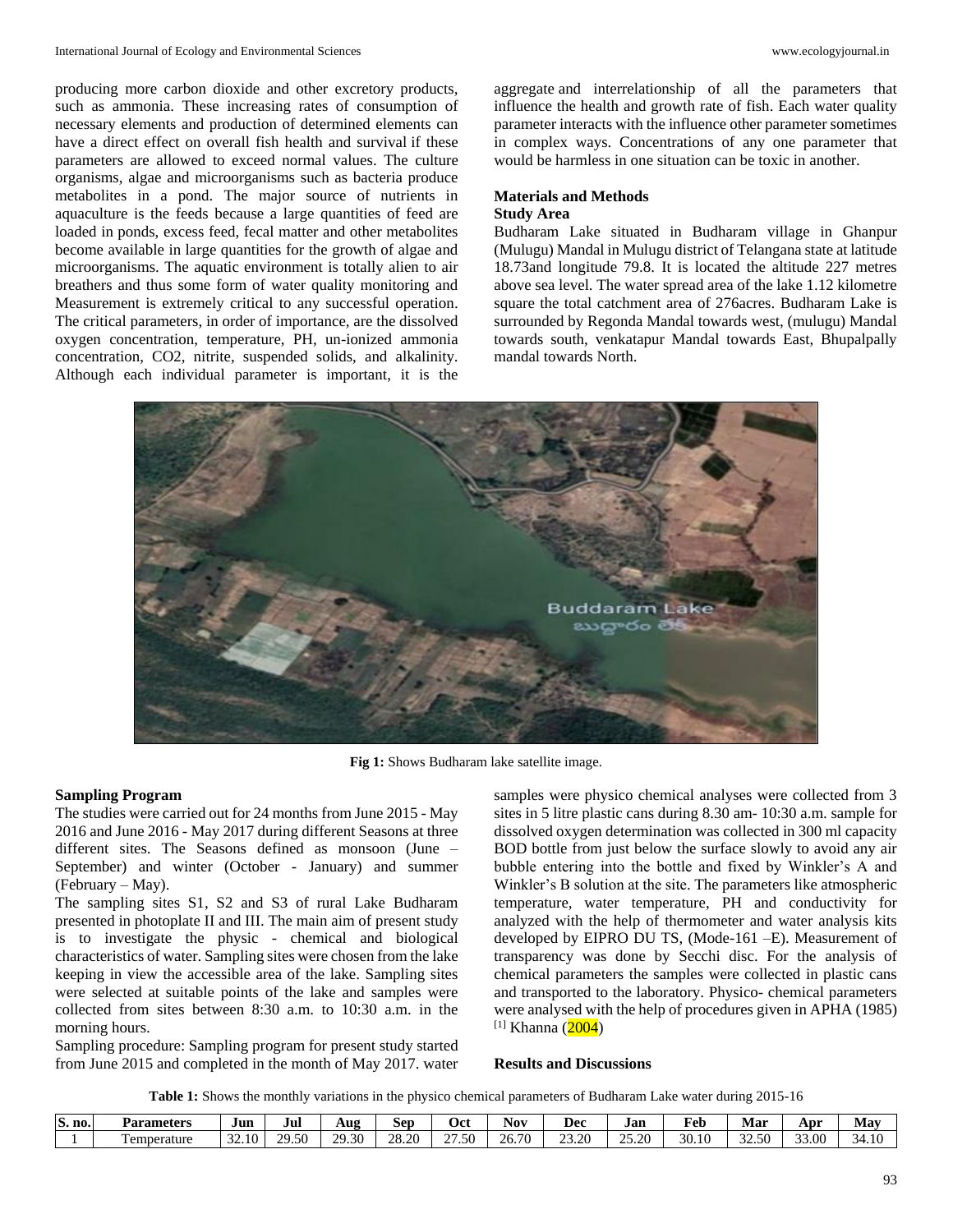producing more carbon dioxide and other excretory products, such as ammonia. These increasing rates of consumption of necessary elements and production of determined elements can have a direct effect on overall fish health and survival if these parameters are allowed to exceed normal values. The culture organisms, algae and microorganisms such as bacteria produce metabolites in a pond. The major source of nutrients in aquaculture is the feeds because a large quantities of feed are loaded in ponds, excess feed, fecal matter and other metabolites become available in large quantities for the growth of algae and microorganisms. The aquatic environment is totally alien to air breathers and thus some form of water quality monitoring and Measurement is extremely critical to any successful operation. The critical parameters, in order of importance, are the dissolved oxygen concentration, temperature, PH, un-ionized ammonia concentration, CO2, nitrite, suspended solids, and alkalinity. Although each individual parameter is important, it is the

aggregate and interrelationship of all the parameters that influence the health and growth rate of fish. Each water quality parameter interacts with the influence other parameter sometimes in complex ways. Concentrations of any one parameter that would be harmless in one situation can be toxic in another.

# **Materials and Methods Study Area**

Budharam Lake situated in Budharam village in Ghanpur (Mulugu) Mandal in Mulugu district of Telangana state at latitude 18.73and longitude 79.8. It is located the altitude 227 metres above sea level. The water spread area of the lake 1.12 kilometre square the total catchment area of 276acres. Budharam Lake is surrounded by Regonda Mandal towards west, (mulugu) Mandal towards south, venkatapur Mandal towards East, Bhupalpally mandal towards North.



**Fig 1:** Shows Budharam lake satellite image.

# **Sampling Program**

The studies were carried out for 24 months from June 2015 - May 2016 and June 2016 - May 2017 during different Seasons at three different sites. The Seasons defined as monsoon (June – September) and winter (October - January) and summer (February – May).

The sampling sites S1, S2 and S3 of rural Lake Budharam presented in photoplate II and III. The main aim of present study is to investigate the physic - chemical and biological characteristics of water. Sampling sites were chosen from the lake keeping in view the accessible area of the lake. Sampling sites were selected at suitable points of the lake and samples were collected from sites between 8:30 a.m. to 10:30 a.m. in the morning hours.

Sampling procedure: Sampling program for present study started from June 2015 and completed in the month of May 2017. water

samples were physico chemical analyses were collected from 3 sites in 5 litre plastic cans during 8.30 am- 10:30 a.m. sample for dissolved oxygen determination was collected in 300 ml capacity BOD bottle from just below the surface slowly to avoid any air bubble entering into the bottle and fixed by Winkler's A and Winkler's B solution at the site. The parameters like atmospheric temperature, water temperature, PH and conductivity for analyzed with the help of thermometer and water analysis kits developed by EIPRO DU TS, (Mode-161 –E). Measurement of transparency was done by Secchi disc. For the analysis of chemical parameters the samples were collected in plastic cans and transported to the laboratory. Physico- chemical parameters were analysed with the help of procedures given in APHA (1985)  $[1]$  Khanna (2004)

#### **Results and Discussions**

**Table 1:** Shows the monthly variations in the physico chemical parameters of Budharam Lake water during 2015-16

| S.<br>no. | Parameters   | $\sim$<br>Jun                           | Jul   | AUP              | --<br>ser           | Vci                      | Nov                                                         | Dec                | Jan                                 | #eb                    | Mar                              | Apr                                | Mav                    |
|-----------|--------------|-----------------------------------------|-------|------------------|---------------------|--------------------------|-------------------------------------------------------------|--------------------|-------------------------------------|------------------------|----------------------------------|------------------------------------|------------------------|
|           | l'emperature | $\sim$<br>$\frac{1}{2}$<br><i>--</i> -- | 29.50 | 20<br>30<br>2.00 | 20.20<br>ж<br>∠∪.∠∖ | $\sim$<br>50<br>$\cdots$ | $\overline{a}$<br>$\overline{\phantom{a}}$<br>$\omega \cup$ | 23.20<br><i>--</i> | $\sim$<br>$\cap \subset$<br>$- - -$ | $\mathbf{20}$<br>JU.IU | $\sim$<br>$\sim$ $\sim$<br>----- | $\sim$ $\sim$<br>$\Omega$<br>JJ.UU | -<br>≺⊿<br><b>T.LV</b> |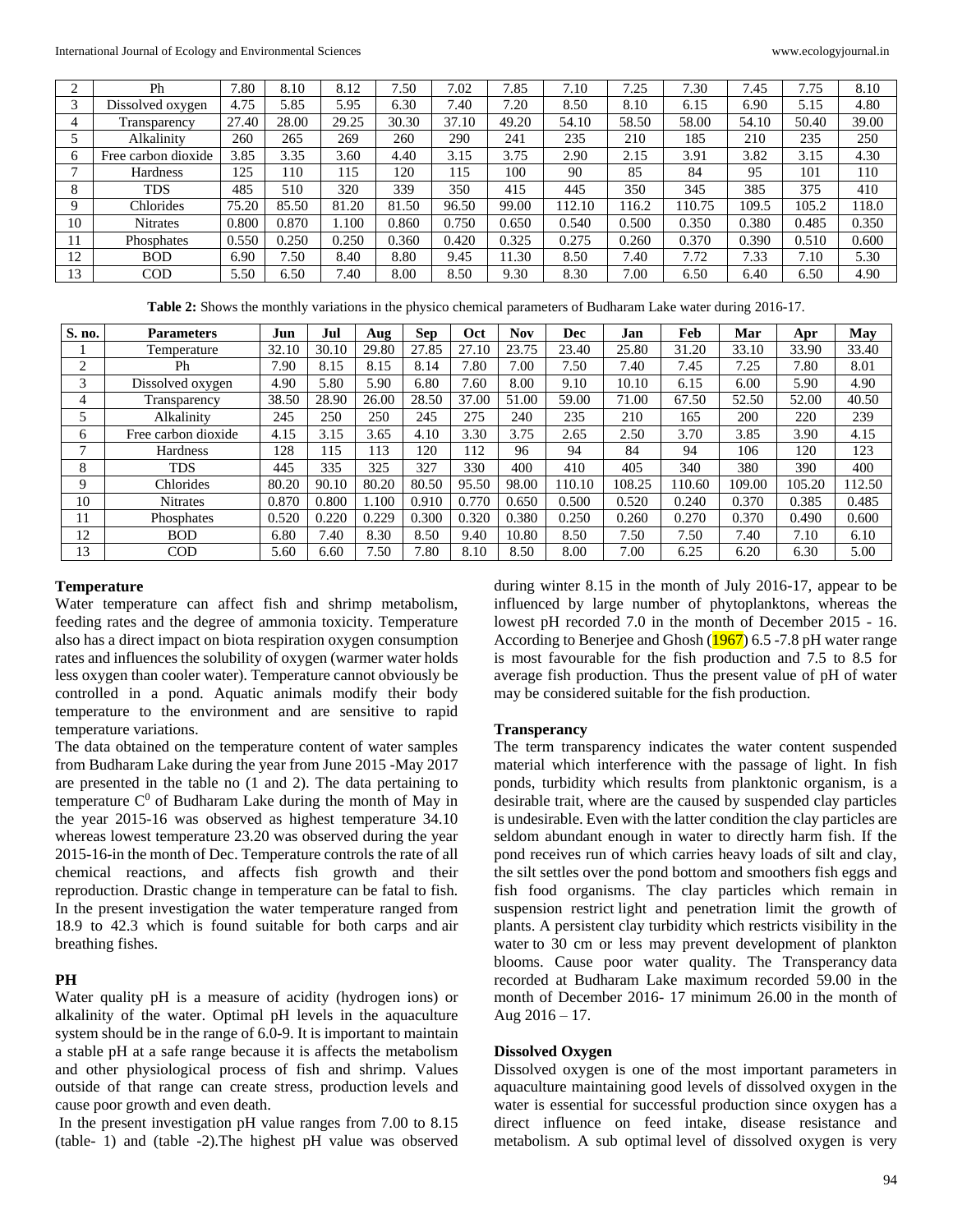|              | Ph                  | 7.80  | 8.10  | 8.12  | 7.50  | 7.02  | 7.85  | 7.10   | 7.25  | 7.30   | 7.45  | 7.75  | 8.10  |
|--------------|---------------------|-------|-------|-------|-------|-------|-------|--------|-------|--------|-------|-------|-------|
| 3            | Dissolved oxygen    | 4.75  | 5.85  | 5.95  | 6.30  | 7.40  | 7.20  | 8.50   | 8.10  | 6.15   | 6.90  | 5.15  | 4.80  |
|              | Transparency        | 27.40 | 28.00 | 29.25 | 30.30 | 37.10 | 49.20 | 54.10  | 58.50 | 58.00  | 54.10 | 50.40 | 39.00 |
|              | Alkalinity          | 260   | 265   | 269   | 260   | 290   | 241   | 235    | 210   | 185    | 210   | 235   | 250   |
| <sub>0</sub> | Free carbon dioxide | 3.85  | 3.35  | 3.60  | 4.40  | 3.15  | 3.75  | 2.90   | 2.15  | 3.91   | 3.82  | 3.15  | 4.30  |
|              | Hardness            | 125   | 110   | 115   | 120   | 115   | 100   | 90     | 85    | 84     | 95    | 101   | 110   |
| 8            | <b>TDS</b>          | 485   | 510   | 320   | 339   | 350   | 415   | 445    | 350   | 345    | 385   | 375   | 410   |
| Q            | Chlorides           | 75.20 | 85.50 | 81.20 | 81.50 | 96.50 | 99.00 | 112.10 | 116.2 | 110.75 | 109.5 | 105.2 | 118.0 |
| 10           | <b>Nitrates</b>     | 0.800 | 0.870 | 1.100 | 0.860 | 0.750 | 0.650 | 0.540  | 0.500 | 0.350  | 0.380 | 0.485 | 0.350 |
| 11           | Phosphates          | 0.550 | 0.250 | 0.250 | 0.360 | 0.420 | 0.325 | 0.275  | 0.260 | 0.370  | 0.390 | 0.510 | 0.600 |
| 12           | <b>BOD</b>          | 6.90  | 7.50  | 8.40  | 8.80  | 9.45  | 11.30 | 8.50   | 7.40  | 7.72   | 7.33  | 7.10  | 5.30  |
| 13           | <b>COD</b>          | 5.50  | 6.50  | 7.40  | 8.00  | 8.50  | 9.30  | 8.30   | 7.00  | 6.50   | 6.40  | 6.50  | 4.90  |

**Table 2:** Shows the monthly variations in the physico chemical parameters of Budharam Lake water during 2016-17.

| S. no. | <b>Parameters</b>   | Jun   | Jul   | Aug   | <b>Sep</b> | Oct   | <b>Nov</b> | Dec    | Jan    | Feb    | Mar    | Apr    | May    |
|--------|---------------------|-------|-------|-------|------------|-------|------------|--------|--------|--------|--------|--------|--------|
|        | Temperature         | 32.10 | 30.10 | 29.80 | 27.85      | 27.10 | 23.75      | 23.40  | 25.80  | 31.20  | 33.10  | 33.90  | 33.40  |
| 2      | Ph                  | 7.90  | 8.15  | 8.15  | 8.14       | 7.80  | 7.00       | 7.50   | 7.40   | 7.45   | 7.25   | 7.80   | 8.01   |
| 3      | Dissolved oxygen    | 4.90  | 5.80  | 5.90  | 6.80       | 7.60  | 8.00       | 9.10   | 10.10  | 6.15   | 6.00   | 5.90   | 4.90   |
| 4      | Transparency        | 38.50 | 28.90 | 26.00 | 28.50      | 37.00 | 51.00      | 59.00  | 71.00  | 67.50  | 52.50  | 52.00  | 40.50  |
|        | Alkalinity          | 245   | 250   | 250   | 245        | 275   | 240        | 235    | 210    | 165    | 200    | 220    | 239    |
| 6      | Free carbon dioxide | 4.15  | 3.15  | 3.65  | 4.10       | 3.30  | 3.75       | 2.65   | 2.50   | 3.70   | 3.85   | 3.90   | 4.15   |
| ⇁      | <b>Hardness</b>     | 128   | 115   | 113   | 120        | 12    | 96         | 94     | 84     | 94     | 106    | 120    | 123    |
| 8      | TDS                 | 445   | 335   | 325   | 327        | 330   | 400        | 410    | 405    | 340    | 380    | 390    | 400    |
| 9      | Chlorides           | 80.20 | 90.10 | 80.20 | 80.50      | 95.50 | 98.00      | 110.10 | 108.25 | 110.60 | 109.00 | 105.20 | 112.50 |
| 10     | <b>Nitrates</b>     | 0.870 | 0.800 | 1.100 | 0.910      | 0.770 | 0.650      | 0.500  | 0.520  | 0.240  | 0.370  | 0.385  | 0.485  |
| 11     | Phosphates          | 0.520 | 0.220 | 0.229 | 0.300      | 0.320 | 0.380      | 0.250  | 0.260  | 0.270  | 0.370  | 0.490  | 0.600  |
| 12     | <b>BOD</b>          | 6.80  | 7.40  | 8.30  | 8.50       | 9.40  | 10.80      | 8.50   | 7.50   | 7.50   | 7.40   | 7.10   | 6.10   |
| 13     | <b>COD</b>          | 5.60  | 6.60  | 7.50  | 7.80       | 8.10  | 8.50       | 8.00   | 7.00   | 6.25   | 6.20   | 6.30   | 5.00   |

#### **Temperature**

Water temperature can affect fish and shrimp metabolism, feeding rates and the degree of ammonia toxicity. Temperature also has a direct impact on biota respiration oxygen consumption rates and influences the solubility of oxygen (warmer water holds less oxygen than cooler water). Temperature cannot obviously be controlled in a pond. Aquatic animals modify their body temperature to the environment and are sensitive to rapid temperature variations.

The data obtained on the temperature content of water samples from Budharam Lake during the year from June 2015 -May 2017 are presented in the table no (1 and 2). The data pertaining to temperature  $C^0$  of Budharam Lake during the month of May in the year 2015-16 was observed as highest temperature 34.10 whereas lowest temperature 23.20 was observed during the year 2015-16-in the month of Dec. Temperature controls the rate of all chemical reactions, and affects fish growth and their reproduction. Drastic change in temperature can be fatal to fish. In the present investigation the water temperature ranged from 18.9 to 42.3 which is found suitable for both carps and air breathing fishes.

### **PH**

Water quality pH is a measure of acidity (hydrogen ions) or alkalinity of the water. Optimal pH levels in the aquaculture system should be in the range of 6.0-9. It is important to maintain a stable pH at a safe range because it is affects the metabolism and other physiological process of fish and shrimp. Values outside of that range can create stress, production levels and cause poor growth and even death.

In the present investigation pH value ranges from 7.00 to 8.15 (table- 1) and (table -2).The highest pH value was observed during winter 8.15 in the month of July 2016-17, appear to be influenced by large number of phytoplanktons, whereas the lowest pH recorded 7.0 in the month of December 2015 - 16. According to Benerjee and Ghosh (1967) 6.5 -7.8 pH water range is most favourable for the fish production and 7.5 to 8.5 for average fish production. Thus the present value of pH of water may be considered suitable for the fish production.

#### **Transperancy**

The term transparency indicates the water content suspended material which interference with the passage of light. In fish ponds, turbidity which results from planktonic organism, is a desirable trait, where are the caused by suspended clay particles is undesirable. Even with the latter condition the clay particles are seldom abundant enough in water to directly harm fish. If the pond receives run of which carries heavy loads of silt and clay, the silt settles over the pond bottom and smoothers fish eggs and fish food organisms. The clay particles which remain in suspension restrict light and penetration limit the growth of plants. A persistent clay turbidity which restricts visibility in the water to 30 cm or less may prevent development of plankton blooms. Cause poor water quality. The Transperancy data recorded at Budharam Lake maximum recorded 59.00 in the month of December 2016- 17 minimum 26.00 in the month of Aug  $2016 - 17$ .

#### **Dissolved Oxygen**

Dissolved oxygen is one of the most important parameters in aquaculture maintaining good levels of dissolved oxygen in the water is essential for successful production since oxygen has a direct influence on feed intake, disease resistance and metabolism. A sub optimal level of dissolved oxygen is very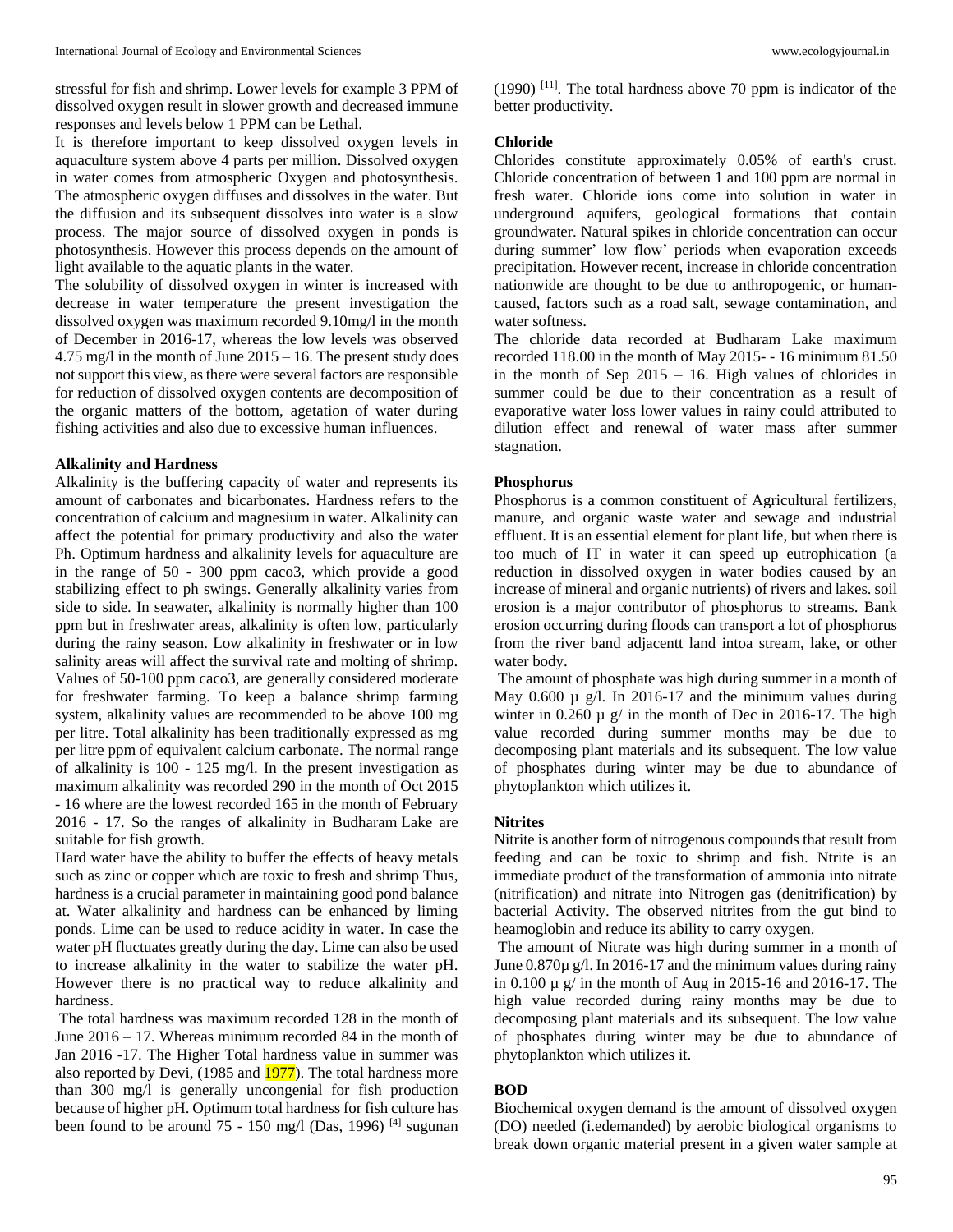It is therefore important to keep dissolved oxygen levels in aquaculture system above 4 parts per million. Dissolved oxygen in water comes from atmospheric Oxygen and photosynthesis. The atmospheric oxygen diffuses and dissolves in the water. But the diffusion and its subsequent dissolves into water is a slow process. The major source of dissolved oxygen in ponds is photosynthesis. However this process depends on the amount of light available to the aquatic plants in the water.

The solubility of dissolved oxygen in winter is increased with decrease in water temperature the present investigation the dissolved oxygen was maximum recorded 9.10mg/l in the month of December in 2016-17, whereas the low levels was observed 4.75 mg/l in the month of June 2015 – 16. The present study does not support this view, as there were several factors are responsible for reduction of dissolved oxygen contents are decomposition of the organic matters of the bottom, agetation of water during fishing activities and also due to excessive human influences.

#### **Alkalinity and Hardness**

Alkalinity is the buffering capacity of water and represents its amount of carbonates and bicarbonates. Hardness refers to the concentration of calcium and magnesium in water. Alkalinity can affect the potential for primary productivity and also the water Ph. Optimum hardness and alkalinity levels for aquaculture are in the range of 50 - 300 ppm caco3, which provide a good stabilizing effect to ph swings. Generally alkalinity varies from side to side. In seawater, alkalinity is normally higher than 100 ppm but in freshwater areas, alkalinity is often low, particularly during the rainy season. Low alkalinity in freshwater or in low salinity areas will affect the survival rate and molting of shrimp. Values of 50-100 ppm caco3, are generally considered moderate for freshwater farming. To keep a balance shrimp farming system, alkalinity values are recommended to be above 100 mg per litre. Total alkalinity has been traditionally expressed as mg per litre ppm of equivalent calcium carbonate. The normal range of alkalinity is 100 - 125 mg/l. In the present investigation as maximum alkalinity was recorded 290 in the month of Oct 2015 - 16 where are the lowest recorded 165 in the month of February 2016 - 17. So the ranges of alkalinity in Budharam Lake are suitable for fish growth.

Hard water have the ability to buffer the effects of heavy metals such as zinc or copper which are toxic to fresh and shrimp Thus, hardness is a crucial parameter in maintaining good pond balance at. Water alkalinity and hardness can be enhanced by liming ponds. Lime can be used to reduce acidity in water. In case the water pH fluctuates greatly during the day. Lime can also be used to increase alkalinity in the water to stabilize the water pH. However there is no practical way to reduce alkalinity and hardness.

The total hardness was maximum recorded 128 in the month of June 2016 – 17. Whereas minimum recorded 84 in the month of Jan 2016 -17. The Higher Total hardness value in summer was also reported by Devi, (1985 and 1977). The total hardness more than 300 mg/l is generally uncongenial for fish production because of higher pH. Optimum total hardness for fish culture has been found to be around 75 - 150 mg/l (Das, 1996)<sup>[4]</sup> sugunan

 $(1990)$  <sup>[11]</sup>. The total hardness above 70 ppm is indicator of the better productivity.

#### **Chloride**

Chlorides constitute approximately 0.05% of earth's crust. Chloride concentration of between 1 and 100 ppm are normal in fresh water. Chloride ions come into solution in water in underground aquifers, geological formations that contain groundwater. Natural spikes in chloride concentration can occur during summer' low flow' periods when evaporation exceeds precipitation. However recent, increase in chloride concentration nationwide are thought to be due to anthropogenic, or humancaused, factors such as a road salt, sewage contamination, and water softness.

The chloride data recorded at Budharam Lake maximum recorded 118.00 in the month of May 2015- - 16 minimum 81.50 in the month of Sep 2015 – 16. High values of chlorides in summer could be due to their concentration as a result of evaporative water loss lower values in rainy could attributed to dilution effect and renewal of water mass after summer stagnation.

#### **Phosphorus**

Phosphorus is a common constituent of Agricultural fertilizers, manure, and organic waste water and sewage and industrial effluent. It is an essential element for plant life, but when there is too much of IT in water it can speed up eutrophication (a reduction in dissolved oxygen in water bodies caused by an increase of mineral and organic nutrients) of rivers and lakes. soil erosion is a major contributor of phosphorus to streams. Bank erosion occurring during floods can transport a lot of phosphorus from the river band adjacentt land intoa stream, lake, or other water body.

The amount of phosphate was high during summer in a month of May 0.600  $\mu$  g/l. In 2016-17 and the minimum values during winter in  $0.260 \mu$  g/ in the month of Dec in 2016-17. The high value recorded during summer months may be due to decomposing plant materials and its subsequent. The low value of phosphates during winter may be due to abundance of phytoplankton which utilizes it.

#### **Nitrites**

Nitrite is another form of nitrogenous compounds that result from feeding and can be toxic to shrimp and fish. Ntrite is an immediate product of the transformation of ammonia into nitrate (nitrification) and nitrate into Nitrogen gas (denitrification) by bacterial Activity. The observed nitrites from the gut bind to heamoglobin and reduce its ability to carry oxygen.

The amount of Nitrate was high during summer in a month of June 0.870µ g/l. In 2016-17 and the minimum values during rainy in 0.100 µ g/ in the month of Aug in 2015-16 and 2016-17. The high value recorded during rainy months may be due to decomposing plant materials and its subsequent. The low value of phosphates during winter may be due to abundance of phytoplankton which utilizes it.

### **BOD**

Biochemical oxygen demand is the amount of dissolved oxygen (DO) needed (i.edemanded) by aerobic biological organisms to break down organic material present in a given water sample at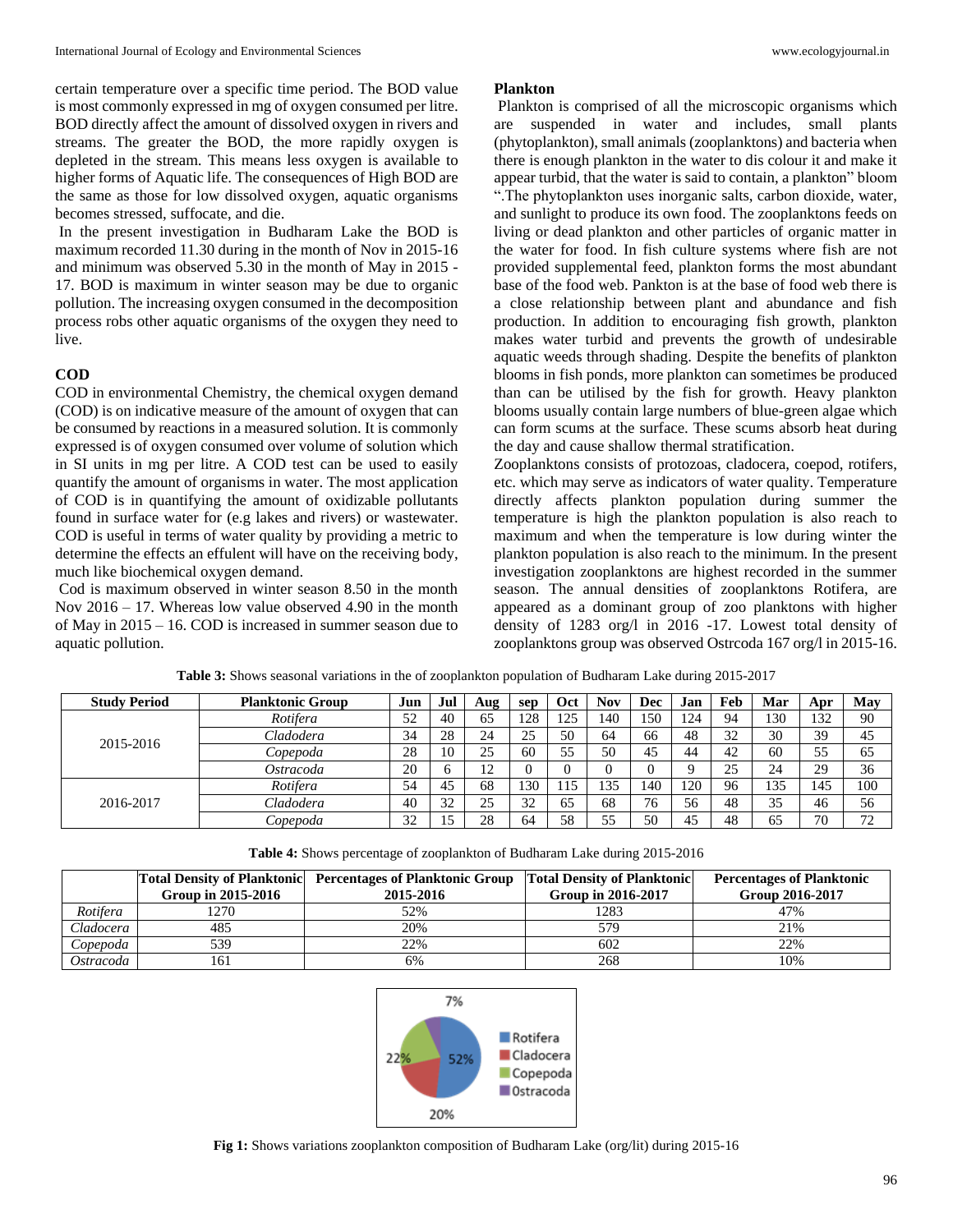certain temperature over a specific time period. The BOD value is most commonly expressed in mg of oxygen consumed per litre. BOD directly affect the amount of dissolved oxygen in rivers and streams. The greater the BOD, the more rapidly oxygen is depleted in the stream. This means less oxygen is available to higher forms of Aquatic life. The consequences of High BOD are the same as those for low dissolved oxygen, aquatic organisms becomes stressed, suffocate, and die.

In the present investigation in Budharam Lake the BOD is maximum recorded 11.30 during in the month of Nov in 2015-16 and minimum was observed 5.30 in the month of May in 2015 - 17. BOD is maximum in winter season may be due to organic pollution. The increasing oxygen consumed in the decomposition process robs other aquatic organisms of the oxygen they need to live.

## **COD**

COD in environmental Chemistry, the chemical oxygen demand (COD) is on indicative measure of the amount of oxygen that can be consumed by reactions in a measured solution. It is commonly expressed is of oxygen consumed over volume of solution which in SI units in mg per litre. A COD test can be used to easily quantify the amount of organisms in water. The most application of COD is in quantifying the amount of oxidizable pollutants found in surface water for (e.g lakes and rivers) or wastewater. COD is useful in terms of water quality by providing a metric to determine the effects an effulent will have on the receiving body, much like biochemical oxygen demand.

Cod is maximum observed in winter season 8.50 in the month Nov 2016 – 17. Whereas low value observed 4.90 in the month of May in 2015 – 16. COD is increased in summer season due to aquatic pollution.

#### **Plankton**

Plankton is comprised of all the microscopic organisms which are suspended in water and includes, small plants (phytoplankton), small animals (zooplanktons) and bacteria when there is enough plankton in the water to dis colour it and make it appear turbid, that the water is said to contain, a plankton" bloom ".The phytoplankton uses inorganic salts, carbon dioxide, water, and sunlight to produce its own food. The zooplanktons feeds on living or dead plankton and other particles of organic matter in the water for food. In fish culture systems where fish are not provided supplemental feed, plankton forms the most abundant base of the food web. Pankton is at the base of food web there is a close relationship between plant and abundance and fish production. In addition to encouraging fish growth, plankton makes water turbid and prevents the growth of undesirable aquatic weeds through shading. Despite the benefits of plankton blooms in fish ponds, more plankton can sometimes be produced than can be utilised by the fish for growth. Heavy plankton blooms usually contain large numbers of blue-green algae which can form scums at the surface. These scums absorb heat during the day and cause shallow thermal stratification.

Zooplanktons consists of protozoas, cladocera, coepod, rotifers, etc. which may serve as indicators of water quality. Temperature directly affects plankton population during summer the temperature is high the plankton population is also reach to maximum and when the temperature is low during winter the plankton population is also reach to the minimum. In the present investigation zooplanktons are highest recorded in the summer season. The annual densities of zooplanktons Rotifera, are appeared as a dominant group of zoo planktons with higher density of 1283 org/l in 2016 -17. Lowest total density of zooplanktons group was observed Ostrcoda 167 org/l in 2015-16.

| <b>Study Period</b> | <b>Planktonic Group</b> | Jun | Jul | Aug | sep | Oct  | Nov | Dec | Jan | Feb | Mar | Apr | May |
|---------------------|-------------------------|-----|-----|-----|-----|------|-----|-----|-----|-----|-----|-----|-----|
|                     | Rotifera                | 52  | 40  | 65  | 28  | 25   | 140 | .50 | 124 | 94  | 130 | 132 | 90  |
| 2015-2016           | Cladodera               | 34  | 28  | 24  | 25  | 50   | 64  | 66  | 48  | 32  | 30  | 39  | 45  |
|                     | Copepoda                | 28  | 10  | 25  | 60  | 55   | 50  | 45  | 44  | 42  | 60  | 55  | 65  |
|                     | Ostracoda               | 20  |     | 12  |     |      |     |     |     | 25  | 24  | 29  | 36  |
|                     | Rotifera                | 54  | 45  | 68  | 30  | . 15 | 135 | 140 | 120 | 96  | 135 | 145 | 100 |
| 2016-2017           | Cladodera               | 40  | 32  | 25  | 32  | 65   | 68  | 76  | 56  | 48  | 35  | 46  | 56  |
|                     | Copepoda                | 32  |     | 28  | 64  | 58   | 55  | 50  | 45  | 48  | 65  | 70  | 70  |

**Table 3:** Shows seasonal variations in the of zooplankton population of Budharam Lake during 2015-2017

| Table 4: Shows percentage of zooplankton of Budharam Lake during 2015-2016 |  |  |  |
|----------------------------------------------------------------------------|--|--|--|
|----------------------------------------------------------------------------|--|--|--|

|           | Group in 2015-2016 | <b>Total Density of Planktonic Percentages of Planktonic Group</b><br>2015-2016 | <b>Total Density of Planktonic</b><br>Group in 2016-2017 | <b>Percentages of Planktonic</b><br>Group 2016-2017 |
|-----------|--------------------|---------------------------------------------------------------------------------|----------------------------------------------------------|-----------------------------------------------------|
| Rotifera  | .270               | 52%                                                                             | 1283                                                     | 47%                                                 |
| Cladocera | 485                | 20%                                                                             | 579                                                      | 21%                                                 |
| Copepoda  | 539                | 22%                                                                             | 602                                                      | 22%                                                 |
| Ostracoda | 161                | 6%                                                                              | 268                                                      | 10%                                                 |



**Fig 1:** Shows variations zooplankton composition of Budharam Lake (org/lit) during 2015-16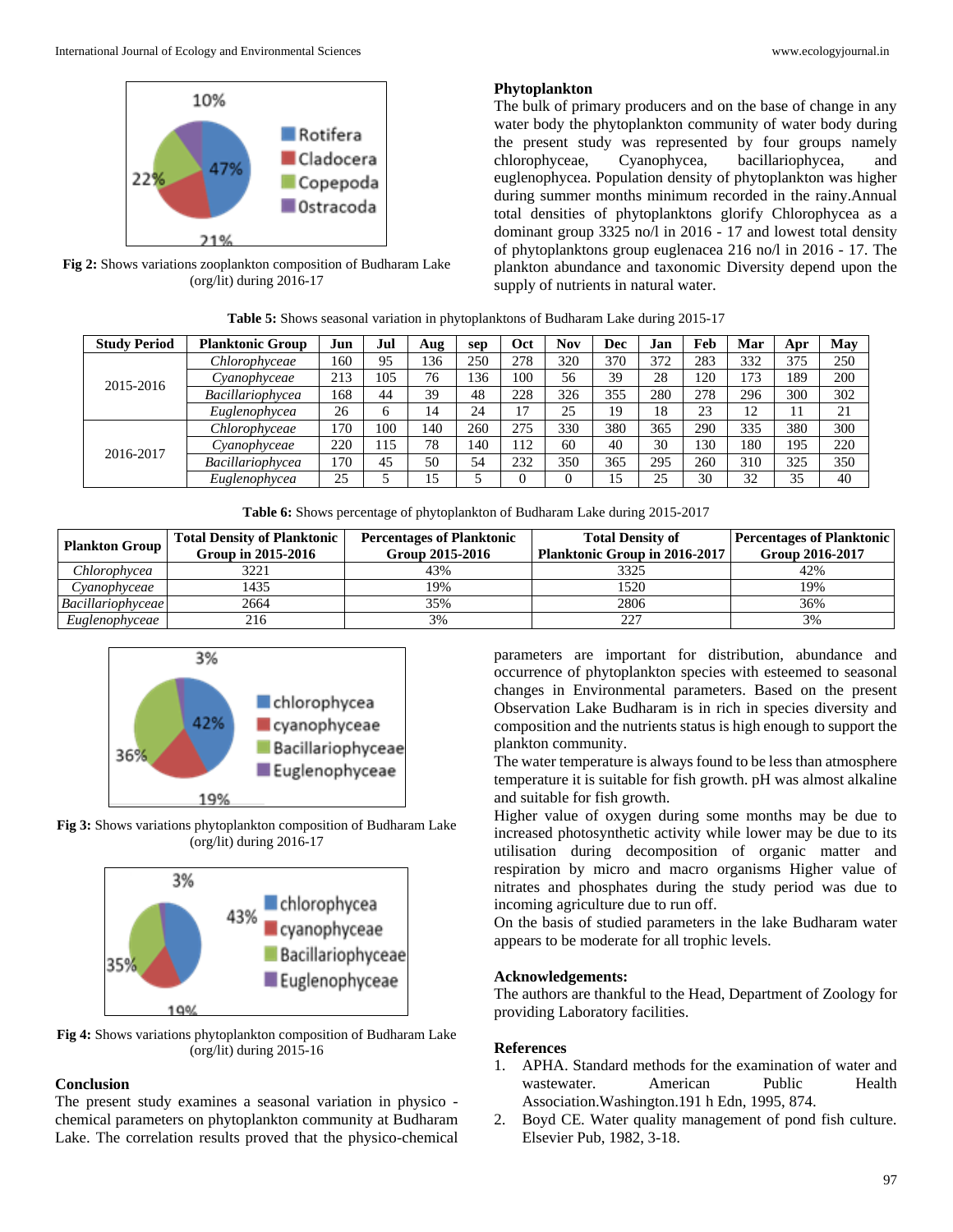

**Fig 2:** Shows variations zooplankton composition of Budharam Lake (org/lit) during 2016-17

#### **Phytoplankton**

The bulk of primary producers and on the base of change in any water body the phytoplankton community of water body during the present study was represented by four groups namely chlorophyceae, Cyanophycea, bacillariophycea, and euglenophycea. Population density of phytoplankton was higher during summer months minimum recorded in the rainy.Annual total densities of phytoplanktons glorify Chlorophycea as a dominant group 3325 no/l in 2016 - 17 and lowest total density of phytoplanktons group euglenacea 216 no/l in 2016 - 17. The plankton abundance and taxonomic Diversity depend upon the supply of nutrients in natural water.

| Table 5: Shows seasonal variation in phytoplanktons of Budharam Lake during 2015-17 |  |
|-------------------------------------------------------------------------------------|--|
|-------------------------------------------------------------------------------------|--|

| <b>Study Period</b> | <b>Planktonic Group</b> | Jun | Jul | Aug | sep | Oct | <b>Nov</b> | Dec | Jan | Feb             | Mar     | Apr | May |
|---------------------|-------------------------|-----|-----|-----|-----|-----|------------|-----|-----|-----------------|---------|-----|-----|
|                     | Chlorophyceae           | 160 | 95  | 136 | 250 | 278 | 320        | 370 | 372 | 283             | 332     | 375 | 250 |
| 2015-2016           | Cyanophyceae            | 213 | 105 | 76  | 136 | 100 | 56         | 39  | 28  | 120             | 173     | 189 | 200 |
|                     | <b>Bacillariophycea</b> | 168 | 44  | 39  | 48  | 228 | 326        | 355 | 280 | 278             | 296     | 300 | 302 |
|                     | Euglenophycea           | 26  |     | 14  | 24  | 17  | 25         | 19  | 18  | 23              | 12<br>┸ |     | 21  |
|                     | Chlorophyceae           | 170 | 100 | 140 | 260 | 275 | 330        | 380 | 365 | 290             | 335     | 380 | 300 |
| 2016-2017           | Cyanophyceae            | 220 | 115 | 78  | 140 | 112 | 60         | 40  | 30  | $\overline{30}$ | 180     | 195 | 220 |
|                     | Bacillariophycea        | 170 | 45  | 50  | 54  | 232 | 350        | 365 | 295 | 260             | 310     | 325 | 350 |
|                     | Euglenophycea           | 25  |     | 15  |     |     |            | 15  | 25  | 30              | 32      | 35  | 40  |

**Table 6:** Shows percentage of phytoplankton of Budharam Lake during 2015-2017

| <b>Plankton Group</b>    | <b>Total Density of Planktonic</b><br>Group in 2015-2016 | <b>Percentages of Planktonic</b><br>Group 2015-2016 | <b>Total Density of</b><br><b>Planktonic Group in 2016-2017</b> | <b>Percentages of Planktonic</b><br>Group 2016-2017 |  |  |
|--------------------------|----------------------------------------------------------|-----------------------------------------------------|-----------------------------------------------------------------|-----------------------------------------------------|--|--|
| Chlorophycea             | 3221                                                     | 43%                                                 | 3325                                                            | 42%                                                 |  |  |
| Cyanophyceae             | 1435                                                     | 19%                                                 | 520ء                                                            | 19%                                                 |  |  |
| <i>Bacillariophyceae</i> | 2664                                                     | 35%                                                 | 2806                                                            | 36%                                                 |  |  |
| Euglenophyceae           | 216                                                      | 3%                                                  |                                                                 | 3%                                                  |  |  |



**Fig 3:** Shows variations phytoplankton composition of Budharam Lake (org/lit) during 2016-17



**Fig 4:** Shows variations phytoplankton composition of Budharam Lake (org/lit) during 2015-16

# **Conclusion**

The present study examines a seasonal variation in physico chemical parameters on phytoplankton community at Budharam Lake. The correlation results proved that the physico-chemical

parameters are important for distribution, abundance and occurrence of phytoplankton species with esteemed to seasonal changes in Environmental parameters. Based on the present Observation Lake Budharam is in rich in species diversity and composition and the nutrients status is high enough to support the plankton community.

The water temperature is always found to be less than atmosphere temperature it is suitable for fish growth. pH was almost alkaline and suitable for fish growth.

Higher value of oxygen during some months may be due to increased photosynthetic activity while lower may be due to its utilisation during decomposition of organic matter and respiration by micro and macro organisms Higher value of nitrates and phosphates during the study period was due to incoming agriculture due to run off.

On the basis of studied parameters in the lake Budharam water appears to be moderate for all trophic levels.

#### **Acknowledgements:**

The authors are thankful to the Head, Department of Zoology for providing Laboratory facilities.

#### **References**

- 1. APHA. Standard methods for the examination of water and wastewater. American Public Health Association.Washington.191 h Edn, 1995, 874.
- 2. Boyd CE. Water quality management of pond fish culture. Elsevier Pub, 1982, 3-18.